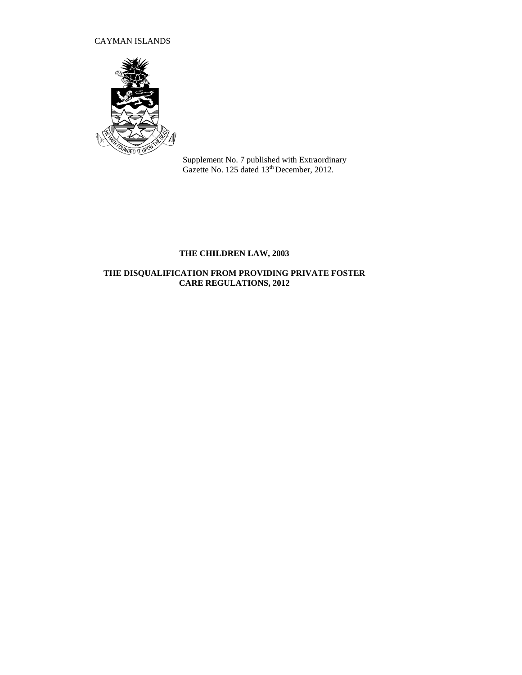## CAYMAN ISLANDS



Supplement No. 7 published with Extraordinary Gazette No. 125 dated 13<sup>th</sup> December, 2012.

# **THE CHILDREN LAW, 2003**

## **THE DISQUALIFICATION FROM PROVIDING PRIVATE FOSTER CARE REGULATIONS, 2012**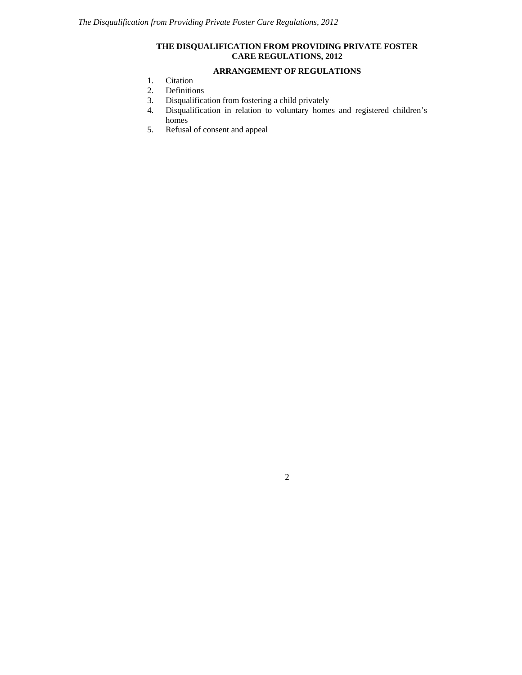### **THE DISQUALIFICATION FROM PROVIDING PRIVATE FOSTER CARE REGULATIONS, 2012**

### **ARRANGEMENT OF REGULATIONS**

- 1. Citation
- 2. Definitions
- 3. Disqualification from fostering a child privately
- 4. Disqualification in relation to voluntary homes and registered children's homes
- 5. Refusal of consent and appeal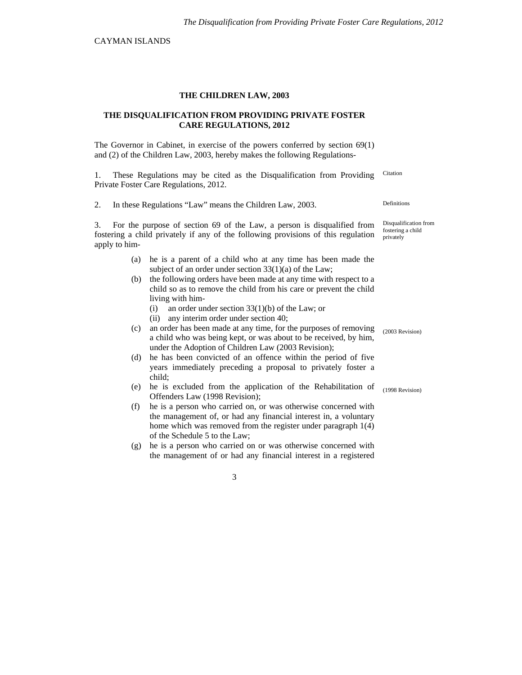CAYMAN ISLANDS

#### **THE CHILDREN LAW, 2003**

#### **THE DISQUALIFICATION FROM PROVIDING PRIVATE FOSTER CARE REGULATIONS, 2012**

The Governor in Cabinet, in exercise of the powers conferred by section 69(1) and (2) of the Children Law, 2003, hereby makes the following Regulations-

1. These Regulations may be cited as the Disqualification from Providing Private Foster Care Regulations, 2012. Citation

2. In these Regulations "Law" means the Children Law, 2003. Definitions

3. For the purpose of section 69 of the Law, a person is disqualified from fostering a child privately if any of the following provisions of this regulation apply to him-

- (a) he is a parent of a child who at any time has been made the subject of an order under section 33(1)(a) of the Law;
- (b) the following orders have been made at any time with respect to a child so as to remove the child from his care or prevent the child living with him-
	- (i) an order under section 33(1)(b) of the Law; or
	- (ii) any interim order under section 40;
- (c) an order has been made at any time, for the purposes of removing a child who was being kept, or was about to be received, by him, under the Adoption of Children Law (2003 Revision);
- (d) he has been convicted of an offence within the period of five years immediately preceding a proposal to privately foster a child;
- (e) he is excluded from the application of the Rehabilitation of Offenders Law (1998 Revision);
- (f) he is a person who carried on, or was otherwise concerned with the management of, or had any financial interest in, a voluntary home which was removed from the register under paragraph 1(4) of the Schedule 5 to the Law;
- (g) he is a person who carried on or was otherwise concerned with the management of or had any financial interest in a registered

Disqualification from fostering a child privately

(2003 Revision)

(1998 Revision)

3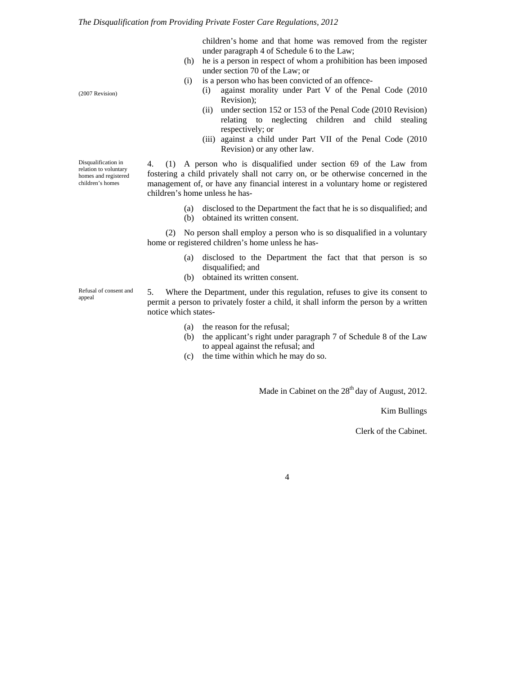children's home and that home was removed from the register under paragraph 4 of Schedule 6 to the Law;

- (h) he is a person in respect of whom a prohibition has been imposed under section 70 of the Law; or
- (i) is a person who has been convicted of an offence-
	- (i) against morality under Part V of the Penal Code (2010 Revision);
	- (ii) under section 152 or 153 of the Penal Code (2010 Revision) relating to neglecting children and child stealing respectively; or
	- (iii) against a child under Part VII of the Penal Code (2010 Revision) or any other law.

Disqualification in relation to voluntary

4. (1) A person who is disqualified under section 69 of the Law from fostering a child privately shall not carry on, or be otherwise concerned in the management of, or have any financial interest in a voluntary home or registered children's home unless he has-

- (a) disclosed to the Department the fact that he is so disqualified; and
- (b) obtained its written consent.

(2) No person shall employ a person who is so disqualified in a voluntary home or registered children's home unless he has-

- (a) disclosed to the Department the fact that that person is so disqualified; and
- (b) obtained its written consent.

5. Where the Department, under this regulation, refuses to give its consent to permit a person to privately foster a child, it shall inform the person by a written notice which states-

- (a) the reason for the refusal;
- (b) the applicant's right under paragraph 7 of Schedule 8 of the Law to appeal against the refusal; and
- (c) the time within which he may do so.

Made in Cabinet on the  $28<sup>th</sup>$  day of August, 2012.

Kim Bullings

Clerk of the Cabinet.

4

(2007 Revision)

homes and registered children's homes

Refusal of consent and appeal